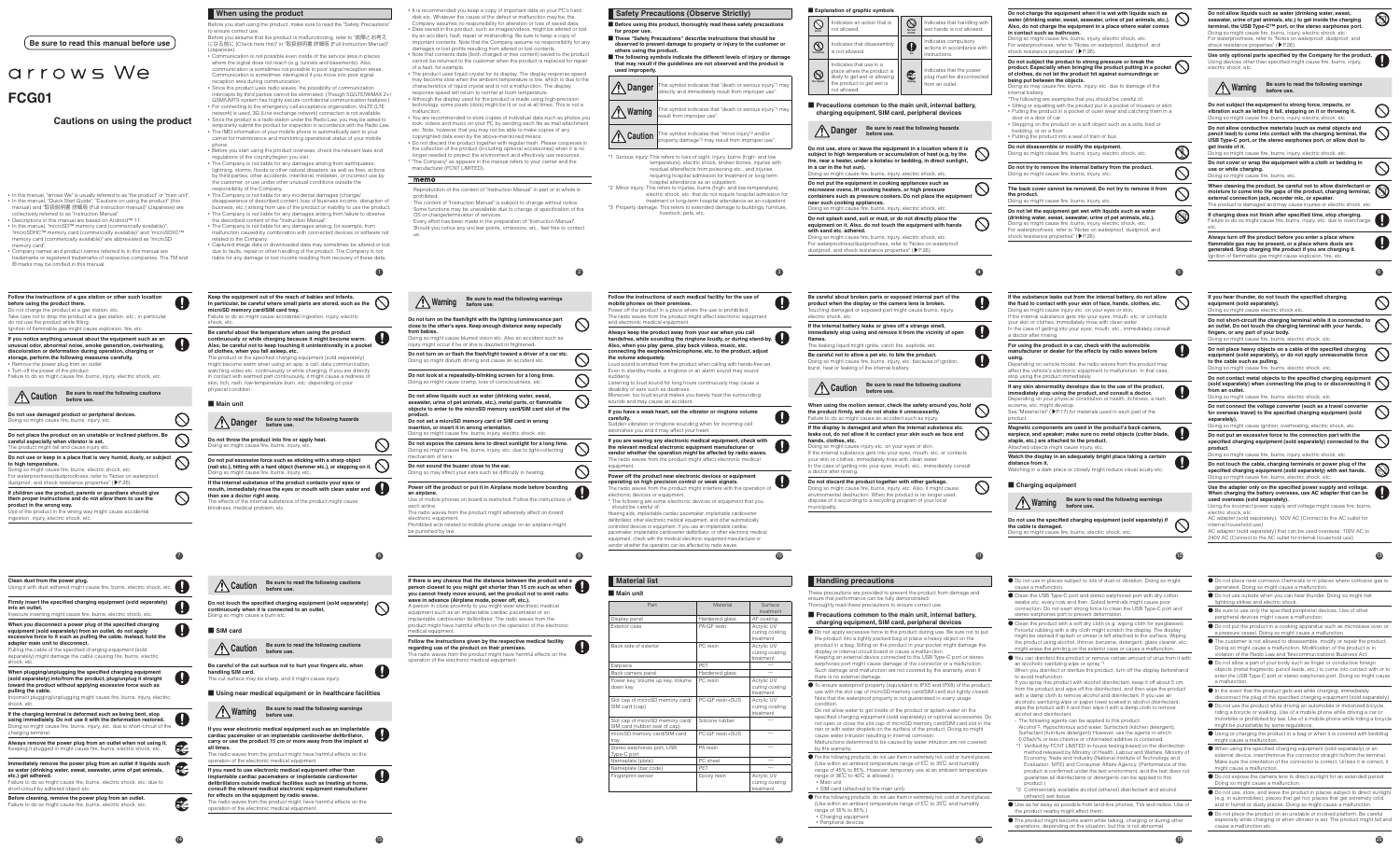# arrows We **FCG01**

#### **Cautions on using the product**

**Be sure to read this manual before use**

• In this manual, "arrows We" is usually referred to as "the product" or "main unit".<br>• In this manual, "Quick Start Guide", "Cautions on using the product" (this<br> manual) and "取扱説明書 詳細版 (Full instruction manual)" (Japan collectively referred to as "Instruction Manual".

• Descriptions in this manual are based on Android™ 11. • In this manual, "microSD™ memory card (commercially available)",<br>"microSDHC™ memory card (commercially available)" and "microSDXC™<br>memory card (commercially available)" are abbreviated as "microSD memory card".

• Company names and product names referred to in this manual are trademarks or registered trademarks of respective companies. The TM and ® marks may be omitted in this manual.

**7**

| before using the product there.<br>do not use the product while filling.                 | Follow the instructions of a gas station or other such location<br>Do not charge the product at a gas station, etc.<br>Take care not to drop the product at a gas station, etc.; in particular,<br>lanition of flammable gas might cause explosion, fire, etc.                                                              |  |
|------------------------------------------------------------------------------------------|-----------------------------------------------------------------------------------------------------------------------------------------------------------------------------------------------------------------------------------------------------------------------------------------------------------------------------|--|
| • Remove the power plug from an outlet<br>• Turn off the power of the product            | If you notice anything unusual about the equipment such as an<br>unusual odor, abnormal noise, smoke generation, overheating,<br>discoloration or deformation during operation, charging or<br>storage, perform the following measures carefully.<br>Failure to do so might cause fire, burns, injury, electric shock, etc. |  |
| Caution                                                                                  | Be sure to read the following cautions<br>before use.                                                                                                                                                                                                                                                                       |  |
| Doing so might cause fire, burns, injury, etc.                                           | Do not use damaged product or peripheral devices.                                                                                                                                                                                                                                                                           |  |
|                                                                                          |                                                                                                                                                                                                                                                                                                                             |  |
| careful especially when vibrator is set.<br>The product might fall and cause injury etc. | Do not place the product on an unstable or inclined platform. Be                                                                                                                                                                                                                                                            |  |
| to high temperature.                                                                     | Do not use or keep in a place that is very humid, dusty, or subject<br>Doing so might cause fire, burns, electric shock, etc.<br>For waterproofness/dustproofness, refer to "Notes on waterproof,<br>dustproof, and shock resistance properties" (P.26).                                                                    |  |

**14**

| Clean dust from the power plug.<br>Using it with dust adhered might cause fire, burns, electric shock, etc.                                                                                                                                                                                                                                                                        |  |
|------------------------------------------------------------------------------------------------------------------------------------------------------------------------------------------------------------------------------------------------------------------------------------------------------------------------------------------------------------------------------------|--|
| Firmly insert the specified charging equipment (sold separately)<br>into an outlet.<br>Insecure inserting might cause fire, burns, electric shock, etc.                                                                                                                                                                                                                            |  |
| When you disconnect a power plug of the specified charging<br>equipment (sold separately) from an outlet, do not apply<br>excessive force to it such as pulling the cable. Instead, hold the<br>adapter main unit to disconnect.<br>Pulling the cable of the specified charging equipment (sold<br>separately) might damage the cable causing fire, burns, electric<br>shock, etc. |  |
| When plugging/unplugging the specified charging equipment                                                                                                                                                                                                                                                                                                                          |  |
| (sold separately) into/from the product, plug/unplug it straight<br>toward the product without applying excessive force such as<br>pulling the cable.<br>Incorrect plugging/unplugging might cause fire, burns, injury, electric<br>shock, etc.                                                                                                                                    |  |
| If the charging terminal is deformed such as being bent, stop<br>using immediately. Do not use it with the deformation restored.<br>Doing so might cause fire, burns, injury, etc. due to short-circuit of the<br>charging terminal.                                                                                                                                               |  |
| Always remove the power plug from an outlet when not using it.<br>Keeping it plugged in might cause fire, burns, electric shock, etc.                                                                                                                                                                                                                                              |  |

night cause fire, burns

The product or the specified charging equipment (sold separately) might become warm when using an app, a call, data communication, watching video etc. continuously or while charging. If you are directly<br>in contact with warmed part continuously, it might cause a redness of<br>skin, itch, rash, low-temperature burn, etc. depending on your

**Danger** Be sure to read the following hazards **before use**.

physical condition ■ **Main unit**

### **When using the product**

Before you start using the product, make sure to read the "Safety Precautions" to ensure correct use. Before you assume that the product is malfunctioning, refer to "故障とお考え になる前に (Check here first)" in "取扱説明書 詳細版 (Full Instruction Manual)" (Japanese). • Communication is not possible even inside of the service area in places

where the signal does not reach (e.g. tunnels and basements). Also, communication is sometimes not possible in poor signal reception areas. Communication is sometimes interrupted if you move into poor signal reception area during communication. • Since the product uses radio waves, the possibility of communication

- The Company is not liable for any incidental damages (change/ disappearance of described content, loss of business income, disruption of business, etc.) arising from use of the product or inability to use the product. The Company is not liable for any damages arising from failure to observe the described content of the "Instruction Manual".
- The Company is not liable for any damages arising, for example, from malfunction caused by combination with connected devices or software not
- related to the Company. • Captured image data or downloaded data may sometimes be altered or lost due to faults, repair or other handling of the product. The Company is not liable for any damage or lost income resulting from recovery of these data.
- **1**

intercepts by third parties cannot be eliminated. (Though 5G/LTE/WiMAX 2+/ GSM/UMTS system has highly secure confidential communication features.) • For connecting to the emergency call acceptance organization, VoLTE (LTE<br>network) is used. 3G (Line exchange network) connection is not available.<br>• Since the product is a radio station under the Radio Law, you may be a temporarily submit the product for inspection in accordance with the Radio Law.

• The IMEI information of your mobile phone is automatically sent to your carrier for maintenance and monitoring operational status of your mobile phone. • Before you start using the product overseas, check the relevant laws and

- regulations of the country/region you visit.
- The Company is not liable for any damages arising from earthquakes,<br>lightning, storms, floods or other natural disasters, as well as fires, actions<br>by third parties, other accidents, intentional, mistaken, or incorrect u the customer, or use under other unusual conditions outside the

sponsibility of the Company.

production of the content of "Instruction Manual" in part or in whole is prohibited.

.<br>The content of "Instruction Manual" is subject to change without notice ・ Some functions may be unavailable due to change of specification of the OS or change/termination of services. ・ Every effort has been made in the preparation of "Instruction Manual".

**Do not turn on or flash the flash/light toward a driver of a car etc.** Doing so might disturb driving and cause an accident etc. **Do not look at a repeatedly-blinking screen for a long time.** Doing so might cause cramp, loss of consciousness, etc.

Do not allow liquids such as water (drinking water, sweat,<br>seawater, urine of pet animals, etc.), metal parts, or flammable<br>objects to enter to the microSD memory card/SIM card slot of the **product. Do not set a microSD memory card or SIM card in wrong insertion, or insert it in wrong orientation.**<br>Doing so might cause fire, burns, injury, electric shock, etc. **Do not expose the camera lens to direct sunlight for a long time.**

**Keep the equipment out of the reach of babies and infants. In particular, be careful where small parts are stored, such as the** 

Failure to do so might cause accidental ingestion, injury, electric

**microSD memory card/SIM card tray.**

shock, etc.

**regarding use of the product on their premises.** The radio waves from the product might have harmful effects on the

n of the electronic medical equipment.

**Be careful about the temperature when using the product continuously or while charging because it might become warm. Also, be careful not to keep touching it unintentionally in a pocket** 

**of clothes, when you fall asleep, etc.**

- **Before using this product, thoroughly read these safety precautions for proper use.**
- **These "Safety Precautions" describe instructions that should be**<br> **Shop observed to prevent damage to property or injury to the customer or** rved to prevent damage to property or injury to the custor
- **others using the product. The following symbols indicate the different levels of injury or damage that may result if the guidelines are not observed and the product is used improperly.**

**Caution** This symbol indicates that "minor injury"<sup>2</sup> and/or<br>property damage<sup>+3</sup> may result from improper use". \*1 Serious injury: This refers to loss of sight, injury, burns (high- and low

**Do not throw the product into fire or apply heat.** Doing so might cause fire, burns, injury, etc.

Power off the product in a place where the use is prohibited. The radio waves from the product might affect electronic equipment

Doing so might cause fire, burns, injury, etc.

**then see a doctor right away.** The effects of the internal substance of the product might cause

blindness, medical problem, etc.

**15**

q

**Caution Be sure to read the following cautions before use.**

**Do not touch the specified charging equipment (sold separately) continuously when it is connected to an outlet.**

Doing so might cause a burn etc.

■ **SIM** card

**Caution Be sure to read the following cautions before use.**

**Be careful of the cut surface not to hurt your fingers etc. when handling SIM card.** The cut surface may be sharp, and it might cause injury.

e radio waves from the product might interfere with the operation of ectronic devices or equipment. \* The following are some electronic devices or equipment that you should be careful of:

**2**

 $\bigcirc$ 

 $\bigcirc$ 

 $\bigcirc$ 

 $\circ$ 

 $\circ$ 

 $\bigcirc$ 

 $\mathbf 0$ 

**8 Do not put excessive force such as sticking with a sharp object (nail etc.), hitting with a hard object (hammer etc.), or stepping on it. If the internal substance of the product contacts your eyes or mouth, immediately rinse the eyes or mouth with clean water and**  Doing so might cause fire, burns, injury, etc. due to light-collecting mechanism of lens. **Do not sound the buzzer close to the ear.** Doing so may affect your ears such as difficulty in hearing. **Power off the product or put it in Airplane mode before boarding an airplane.** Use of mobile phones on board is restricted. Follow the instructions of each airline. The radio waves from the product might adversely affect on-board electronic equipment. Prohibited acts related to mobile phone usage on an airplane might be punished by law.

- It is recommended you keep a copy of important data on your PC's hard disk etc. Whatever the cause of the defect or malfunction may be, the Company assumes no responsibility for alteration or loss of saved data.
- Data saved in the product, such as images/videos, might be altered or lost by an accident, fault, repair or mishandling. Be sure to keep a copy of important contents. Note that the Company assume no responsibility for any
- damages or lost profits resulting from altered or lost contents. Note that contents data (both charged or free content) saved to the product cannot be returned to the customer when the product is replaced for repair
- of a fault, for example. The product uses liquid crystal for its display. The display response speed may become slow when the ambient temperature is low, which is due to the characteristics of liquid crystal and is not a malfunction. The display onse speed will return to normal at room temperature.
- Although the display used for the product is made using high-precision technology, some pixels (dots) might be lit or out at all times. This is not a malfunction. • You are recommended to store copies of individual data such as photos you
- took, videos and music on your PC by sending each file as mail attachment etc. Note, however, that you may not be able to make copies of any copyrighted data even by the above-mentioned means.
- Do not discard the product together with regular trash. Please cooperate in the collection of the product (including optional accessories) when it is no longer needed to protect the environment and effectively use resources. \* "The Company" as appears in the manual refers to your carrier and the manufacturer (FCNT LIMITED).

#### $memo$

Should you notice any unclear points, omissions, etc., feel free to contact

us.

**fom babies.** 

 $\bigcirc$ 

**9**

**Warning Be sure to read the following warnings before use.**

**Do not turn on the flash/light with the lighting luminescence part close to the other's eyes. Keep enough distance away especially** 

Doing so might cause blurred vision etc. Also an accident such as injury might occur if he or she is dazzled or frightened.

**16**

**If there is any chance that the distance between the product and a person closest to you might get shorter than 15 cm such as when you cannot freely move around, set the product not to emit radio wave in advance (Airplane mode, power off, etc.).**

A person in close proximity to you might wear electronic medical equipment such as an implantable cardiac pacemaker or an implantable cardioverter defibrillator. The radio waves from the product might have harmful effects on the operation of the electronic medical equipment.

**Follow the instructions given by the respective medical facility** 

■ Main unit

Part Material Display panel **Hardened glass** AF coating

**3**

entric shock, etc.

| <b>Safety Precautions (Observe Strictly)</b> |  |
|----------------------------------------------|--|

| <b>/ Danger</b>  | This symbol indicates that "death or serious injury" may directly and immediately result from improper use". |
|------------------|--------------------------------------------------------------------------------------------------------------|
| <b>X</b> Warning | This symbol indicates that "death or serious injury" may<br>result from improper use".                       |
|                  |                                                                                                              |

temperature), electric shock, broken bones, injuries with residual aftereffects from poisoning etc., and injuries requiring hospital admission for treatment or long-term hospital attendance as an outpatient.

\*2 Minor injury: This refers to injuries, burns (high- and low-temperature), electric shock, etc. that do not require hospital admission for treatment or long-term hospital attendance as an outpatient. \*3 Property damage: This refers to extended damage to buildings, furniture, livestock, pets, etc.

**When cleaning the product, be careful not to allow disinfectant or moisture to come into the gaps of the product, charging terminal, external connection jack, recorder mic, or speaker.** The product is damaged and may cause injuries or electric shock, etc.

**If charging does not finish after specified time, stop charging.**<br>Failure to do so might cause fire, burns, injury, etc. due to overcharge<br>etc.

**10**

**Follow the instructions of each medical facility for the use of** 

**mobile phones on their premises.**

**Always turn off the product before you enter a place where flammable gas may be present, or a place where dusts are generated. Stop charging the product if you are charging it.** gnition of flammable gas might cause explosion, fire, et

and electronic medical equipment.

**Always keep the product away from your ear when you call** 



**the volume adequately.**

Even in standby mode, a ringtone or an alarm sound may sound suddenly. Listening to loud sound for long hours continuously may cause a bility of ears such as deafness. Moreover, too loud sound makes you barely hear the surrounding

sounds and may cause an accident. **If you have a weak heart, set the vibrator or ringtone volume carefully.**

**If you are wearing any electronic medical equipment, check with the relevant medical electronic equipment manufacturer or vendor whether the operation might be affected by radio waves.** he radio waves from the product might affect electronic medical equipment.

# **Power off the product near electronic devices or equipment operating on high precision control or weak signals.**

Hearing aids, implantable cardiac pacemaker, implantable cardioverter defibrillator, other electronic medical equipment, and other automatically controlled devices or equipment. If you use an implantable cardiac pacemaker, implantable cardioverter defibrillator, or other electronic medical equipment, check with the medical electronic equipment manufacturer or vendor whether the operation can be affected by radio waves.



**Material list**

**Carefully:**<br>Sudden vibration or ringtone sounding when for incoming call ishes you and it may affect your heart.

treatment

# $\bf{1}$

ese precautions are provided to prevent the product from damage and ensure that performance can be fully demonstrate

## ■ **Precautions common to the main unit, internal battery,**







**flames.**

**hands, clothes, etc.**

a doctor after rinsing.

municipality.

 $\circ$ Doing so might cause injury etc. on your eyes or skin. If the internal substance gets into your eyes, mouth, etc. or contacts your skin or clothes, immediately rinse with clean water. In the case of getting into your eyes, mouth, etc., immediately consult **For using the product in a car, check with the automobile**   $\mathbf \Omega$ **manufacturer or dealer for the effects by radio waves before**  Depending on vehicle model, the radio waves from the product may affect the vehicle's electronic equipment to malfunction. In that case, **If any skin abnormality develops due to the use of the product,**   $\mathbf \Omega$ **immediately stop using the product, and consult a doctor.** Depending on your physical constitution or health, itchiness, a rash, eczema, etc. might develop. See "Material list" (▶P. 17) for materials used in each part of the Magnetic components are used in the product's back camera,<br>earpiece, and speaker; make sure no metal objects (cutter blade,<br>staple, etc.) are attached to the product.<br>Attached objects might cause injury, etc. **Watch the display in an adequately bright place taking a certain**   $\mathbf 0$ Watching in a dark place or closely might reduce visual acuity etc. **Warning Be sure to read the following warnings before use. Do not use the specified charging equipment (sold separately) if**   $\bigcirc$ 

# **Handling precautions**

oughly read these precautions to ensure correct use.

- **charging equipment, SIM card, peripheral devices**
	-

- Do not apply excessive force to the product during use. Be sure not to put the product into a tightly packed bag or place a heavy object on the product in a bag. Sitting on the product in your pocket might damage the display or internal circuit board or cause a malfunction. Keeping an external device connected to the USB Type-C port or stereo earphones port might cause damage of the connector or a malfunction. Such damage and malfunction are not covered by the warranty, even if there is no external damage.
- To ensure waterproof property (equivalent to IPX5 and IPX8) of the product, use with the slot cap of microSD memory card/SIM card slot tightly closed.<br>Note that the waterproof property is not guaranteed in every usage condition. Do not allow water to get inside of the product or splash water on the specified charging equipment (sold separately) or optional accessories. Do<br>not open or close the slot cap of microSD memory card/SIM card slot in the<br>rain or with water droplets on the surface of the product. Doing so migh cause water intrusion resulting in internal corros Malfunctions determined to be caused by water intrusion are not covered
- by the warranty. ● For the following products, do not use them in extremely hot, cold or humid places. (Use within an ambient temperature range of 5℃ to 35℃ and humidity range of 45% to 85%. However, temporary use at an ambient temperature ange of 36℃ to 40℃ is allowed.) • Main unit • SIM card (attached to the main unit)
- For the following products, do not use them in extremely hot, cold or humid places. (Use within an ambient temperature range of 5℃ to 35℃ and humidity range of 35% to 85%.) • Charging equipment • Peripheral devices

**5**

 $\mathcal{O}$ 

 $\mathcal{O}$ 

 $\circledS$ 

**12**

**the cable is damaged.** Doing so might cause fire, burns, electric shock, etc.

- Do not use in places subject to lots of dust or vibration. Doing so might cause a malfunction.
- Clean the USB Type-C port and stereo earphones port with dry cotton swabs etc. every now and then. Soiled terminals might cause poo connection. Do not exert strong force to clean the USB Type-C port and ereo earphones port to prevent deform
- Clean the product with a soft dry cloth (e.g. wiping cloth for eyeglasses).<br>Forceful rubbing with a dry cloth might scratch the display. The display<br>might be stained if splash or smear is left attached to the surface. Wipi the product using alcohol, thinner, benzene, detergent, glass cleaner, etc. hight erase the printing on the exterior case or cause a ma
- You can disinfect this product or remove certain amount of virus from it with an alcoholic sanitizing wipe or spray.' When you disinfect or sterilize the product, turn off the display beforehand
- to avoid malfunction. If you spray this product with alcohol disinfectant, keep it off about 5 cm from the product and wipe off the disinfectant, and then wipe the product with a damp cloth to remove alcohol and disinfectant. If you use an alcoholic sanitizing wipe or paper towel soaked in alcohol disinfectant, wipe the product with it and then wipe it with a damp cloth to remove alcohol and disinfectant. - The following agents can be applied to this product.
- 
- Alcohol\*2, Hypochlorous acid water, Surfactant (kitchen detergent), Surfactant (furniture detergent) However, use the agents in which 0.05w/v% or less chlorine or chlorinated additive is contained. 0.05w/v% or less chlorine or chlorinated addition.<br>1 Verified by FCNT LIMITED in-house testi
- \*1 Verified by FCNT LIMITED in-house testing based on the disinfection method released by Ministry of Health, Labour and Welfare, Ministry of Economy, Trade and Industry (National Institute of Technology and Evaluation: NITE) and Consumer Affairs Agency. (Performance of this product is confirmed under the test environment, and the test does not guarantee all disinfectants or detergents can be applied to this product.)
- \*2 Commercially available alcohol (ethanol) disinfectant and alcohol (ethanol) wet tissue
- Use as far away as possible from land-line phones, TVs and radios. Use of the product nearby might affect them.
- The product might become warm while talking, charging or during other operations, depending on the situation, but this is not abnormal.
	- **19**

**6**

 $\circledS$ 

 $\circledcirc$ 

 $\circ$ 

 $\circledcirc$ 

**Do not allow liquids such as water (drinking water, sweat, seawater, urine of pet animals, etc.) to get inside the charging terminal, the USB Type-C™ port, or the stereo earphones port.** Doing so might cause fire, burns, injury, electric shock, etc. For waterproofness, refer to "Notes on waterproof, dustproof, and shock resistance properties" (▶P.26). **Use only optional parts specified by the Company for the product.** Using devices other than specified might cause fire, burns, injury, electric shock, etc.





**Do not allow conductive materials (such as metal objects and pencil lead) to come into contact with the charging terminal, the USB Type-C port, or the stereo earphones port, or allow dust to get inside of it.**

Doing so might cause fire, burns, injury, electric shock, etc. **Do not cover or wrap the equipment with a cloth or bedding in** 

**use or while charging.**

Doing so might cause fire, burns, etc.

**13**

| If you hear thunder, do not touch the specified charging<br>equipment (sold separately).<br>Doing so might cause electric shock etc.                                                                                                  |  |
|---------------------------------------------------------------------------------------------------------------------------------------------------------------------------------------------------------------------------------------|--|
| Do not short-circuit the charging terminal while it is connected to<br>an outlet. Do not touch the charging terminal with your hands,<br>fingers, or any part of your body.<br>Doing so might cause fire, burns, electric shock, etc. |  |
| Do not place heavy objects on a cable of the specified charging<br>equipment (sold separately), or do not apply unreasonable force<br>to the cable such as pulling.<br>Doing so might cause fire, burns, electric shock, etc.         |  |
| Do not contact metal objects to the specified charging equipment<br>(sold separately) when connecting the plug to or disconnecting it<br>from an outlet.<br>Doing so might cause fire, burns, electric shock, etc.                    |  |
| Do not connect the voltage converter (such as a travel converter<br>for overseas travel) to the specified charging equipment (sold<br>separately).<br>Doing so might cause ignition, overheating, electric shock, etc.                |  |
| Do not put an excessive force to the connection part with the<br>specified charging equipment (sold separately) connected to the<br>product.<br>Doing so might cause fire, burns, injury, electric shock, etc.                        |  |
| Do not touch the cable, charging terminals or power plug of the<br>specified charging equipment (sold separately) with wet hands.<br>Doing so might cause fire, burns, electric shock, etc.                                           |  |
| Use the adapter only on the specified power supply and voltage.<br>When charging the battery overseas, use AC adapter that can be                                                                                                     |  |

**When charging the battery overseas, use AC adapter that can be used overseas (sold separately).** Using the incorrect power supply and voltage might cause fire, burns,

etric shock, etc. AC adapter (sold separately): 100V AC (Connect to the AC outlet for nternal household use)

AC adapter (sold separately) that can be used overseas: 100V AC to 240V AC (Connect to the AC outlet for internal household use)

● Do not place near corrosive chemicals or in places where corrosive gas is

- generated. Doing so might cause a malfun ● Do not use outside when you can hear thunder. Doing so might risk
- lightning strikes and electric shock.
- Be sure to use only the specified peripheral devices. Use of other al devices might cause a malfunction
- Do not put the product in a cooking apparatus such as microwave oven or a pressure vessel. Doing so might cause a malfunction.
- The customer is not allowed to disassemble, modify or repair the product. Doing so might cause a malfunction. Modification of the product is in violation of the Radio Law and Telecommunications Business Act.
- Do not allow a part of your body such as finger or conductive foreign objects (metal fragments, pencil leads, etc.) to come into contact with or to enter the USB Type-C port or stereo earphones port. Doing so might cause a malfunction.
- In the event that the product gets wet while charging, immediately
- disconnect the plug of the specified charging equipment (sold separately). ● Do not use the product while driving an automobile or motorized bicycle,
- riding a bicycle or walking. Use of a mobile phone while driving a car or motorbike is prohibited by law. Use of a mobile phone while riding a bicycle might be punishable by some regulations.
- $\bullet$  Using or charging the product in a bag or when it is covered with bedding might cause a malfunction.
- When using the specified charging equipment (sold separately) or an external device, insert/remove the connector straight to/from the terminal. Make sure the orientation of the connector is correct. Unless it is correct, it might cause a malfunction.
- Do not expose the camera lens to direct sunlight for an extended period. Doing so might cause a malfunction.
- **Do not use, store, and leave the product in places subject to direct sunlight** to one use, store, and leave the product in places subject to direct sunlight (e.g. in automobiles), places that get hot, places that get extremely cold, d in humid or dusty places. Doing so might cause a malfunction
- Do not place the product on an unstable or inclined platform. Be careful especially while charging or when vibrator is set. The product might fall and cause a malfunction etc.